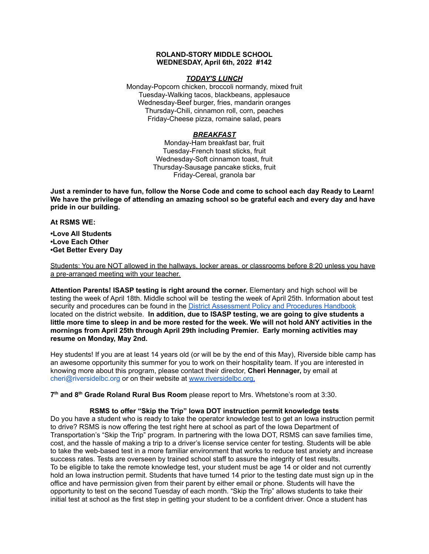### **ROLAND-STORY MIDDLE SCHOOL WEDNESDAY, April 6th, 2022 #142**

### *TODAY'S LUNCH*

Monday-Popcorn chicken, broccoli normandy, mixed fruit Tuesday-Walking tacos, blackbeans, applesauce Wednesday-Beef burger, fries, mandarin oranges Thursday-Chili, cinnamon roll, corn, peaches Friday-Cheese pizza, romaine salad, pears

## *BREAKFAST*

Monday-Ham breakfast bar, fruit Tuesday-French toast sticks, fruit Wednesday-Soft cinnamon toast, fruit Thursday-Sausage pancake sticks, fruit Friday-Cereal, granola bar

Just a reminder to have fun, follow the Norse Code and come to school each day Ready to Learn! **We have the privilege of attending an amazing school so be grateful each and every day and have pride in our building.**

### **At RSMS WE:**

**•Love All Students •Love Each Other •Get Better Every Day**

Students: You are NOT allowed in the hallways, locker areas, or classrooms before 8:20 unless you have a pre-arranged meeting with your teacher.

**Attention Parents! ISASP testing is right around the corner.** Elementary and high school will be testing the week of April 18th. Middle school will be testing the week of April 25th. Information about test security and procedures can be found in the District [Assessment](https://rolandstory.school/media/Michelle%20Soderstrum/RSCSD_District_Assessment_Poli%20-%20Copy%203.pdf) Policy and Procedures Handbook located on the district website. **In addition, due to ISASP testing, we are going to give students a** little more time to sleep in and be more rested for the week. We will not hold ANY activities in the **mornings from April 25th through April 29th including Premier. Early morning activities may resume on Monday, May 2nd.**

Hey students! If you are at least 14 years old (or will be by the end of this May), Riverside bible camp has an awesome opportunity this summer for you to work on their hospitality team. If you are interested in knowing more about this program, please contact their director, **Cheri Hennager,** by email at cheri@riversidelbc.org or on their website at [www.riversidelbc.org.](http://www.riversidelbc.org/)

**7 th and 8 th Grade Roland Rural Bus Room** please report to Mrs. Whetstone's room at 3:30.

## **RSMS to offer "Skip the Trip" Iowa DOT instruction permit knowledge tests**

Do you have a student who is ready to take the operator knowledge test to get an Iowa instruction permit to drive? RSMS is now offering the test right here at school as part of the Iowa Department of Transportation's "Skip the Trip" program. In partnering with the Iowa DOT, RSMS can save families time, cost, and the hassle of making a trip to a driver's license service center for testing. Students will be able to take the web-based test in a more familiar environment that works to reduce test anxiety and increase success rates. Tests are overseen by trained school staff to assure the integrity of test results. To be eligible to take the remote knowledge test, your student must be age 14 or older and not currently hold an Iowa instruction permit. Students that have turned 14 prior to the testing date must sign up in the office and have permission given from their parent by either email or phone. Students will have the opportunity to test on the second Tuesday of each month. "Skip the Trip" allows students to take their initial test at school as the first step in getting your student to be a confident driver. Once a student has